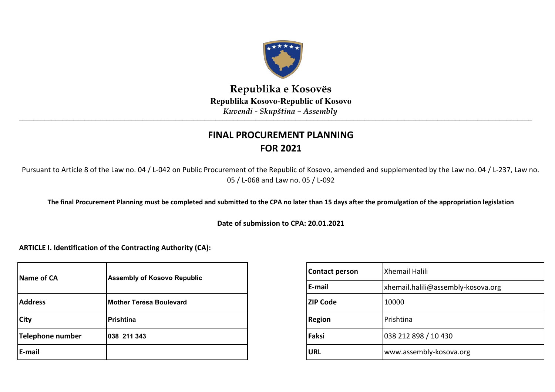

\_\_\_\_\_\_\_\_\_\_\_\_\_\_\_\_\_\_\_\_\_\_\_\_\_\_\_\_\_\_\_\_\_\_\_\_\_\_\_\_\_\_\_\_\_\_\_\_\_\_\_\_\_\_\_\_\_\_\_\_\_\_\_\_\_\_\_\_\_\_\_\_\_\_\_\_\_\_\_\_\_\_\_\_\_\_\_\_\_\_\_\_\_\_\_\_\_\_\_\_\_\_\_\_\_\_\_\_\_\_\_\_\_\_\_\_\_\_\_\_\_\_\_\_\_\_\_\_\_\_\_\_\_\_\_\_\_\_\_\_\_ **Republika e Kosovës Republika Kosovo-Republic of Kosovo** *Kuvendi - Skupština – Assembly*

# **FINAL PROCUREMENT PLANNING FOR 2021**

Pursuant to Article 8 of the Law no. 04 / L-042 on Public Procurement of the Republic of Kosovo, amended and supplemented by the Law no. 04 / L-237, Law no. 05 / L-068 and Law no. 05 / L-092

**The final Procurement Planning must be completed and submitted to the CPA no later than 15 days after the promulgation of the appropriation legislation**

**Date of submission to CPA: 20.01.2021**

**ARTICLE I. Identification of the Contracting Authority (CA):**

| Name of CA       | <b>Assembly of Kosovo Republic</b> | Cont         |
|------------------|------------------------------------|--------------|
|                  |                                    | E-ma         |
| <b>Address</b>   | <b>Mother Teresa Boulevard</b>     | <b>ZIP C</b> |
| <b>City</b>      | Prishtina                          | <b>Regio</b> |
| Telephone number | 038 211 343                        | Faksi        |
| E-mail           |                                    | <b>URL</b>   |

| <b>Contact person</b> | <b>Xhemail Halili</b>              |  |  |  |
|-----------------------|------------------------------------|--|--|--|
| E-mail                | xhemail.halili@assembly-kosova.org |  |  |  |
| <b>ZIP Code</b>       | 10000                              |  |  |  |
| <b>Region</b>         | Prishtina                          |  |  |  |
| Faksi                 | 038 212 898 / 10 430               |  |  |  |
| <b>URL</b>            | www.assembly-kosova.org            |  |  |  |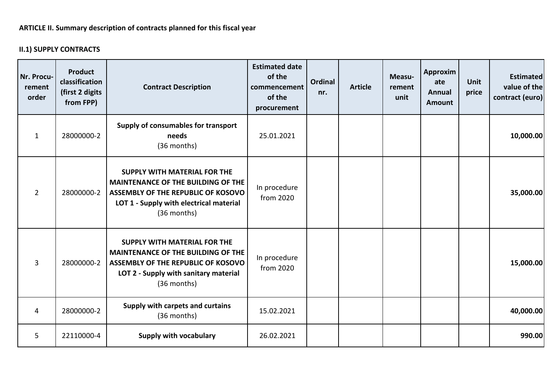## **II.1) SUPPLY CONTRACTS**

| Nr. Procu-<br>rement<br>order | <b>Product</b><br>classification<br>(first 2 digits<br>from FPP) | <b>Contract Description</b>                                                                                                                                                      | <b>Estimated date</b><br>of the<br>commencement<br>of the<br>procurement | Ordinal<br>nr. | <b>Article</b> | Measu-<br>rement<br>unit | Approxim<br>ate<br><b>Annual</b><br><b>Amount</b> | <b>Unit</b><br>price | <b>Estimated</b><br>value of the<br>contract (euro) |
|-------------------------------|------------------------------------------------------------------|----------------------------------------------------------------------------------------------------------------------------------------------------------------------------------|--------------------------------------------------------------------------|----------------|----------------|--------------------------|---------------------------------------------------|----------------------|-----------------------------------------------------|
| $\mathbf{1}$                  | 28000000-2                                                       | Supply of consumables for transport<br>needs<br>(36 months)                                                                                                                      | 25.01.2021                                                               |                |                |                          |                                                   |                      | 10,000.00                                           |
| $\overline{2}$                | 28000000-2                                                       | <b>SUPPLY WITH MATERIAL FOR THE</b><br><b>MAINTENANCE OF THE BUILDING OF THE</b><br>ASSEMBLY OF THE REPUBLIC OF KOSOVO<br>LOT 1 - Supply with electrical material<br>(36 months) | In procedure<br>from 2020                                                |                |                |                          |                                                   |                      | 35,000.00                                           |
| 3                             | 28000000-2                                                       | <b>SUPPLY WITH MATERIAL FOR THE</b><br><b>MAINTENANCE OF THE BUILDING OF THE</b><br>ASSEMBLY OF THE REPUBLIC OF KOSOVO<br>LOT 2 - Supply with sanitary material<br>(36 months)   | In procedure<br>from 2020                                                |                |                |                          |                                                   |                      | 15,000.00                                           |
| 4                             | 28000000-2                                                       | Supply with carpets and curtains<br>(36 months)                                                                                                                                  | 15.02.2021                                                               |                |                |                          |                                                   |                      | 40,000.00                                           |
| 5                             | 22110000-4                                                       | <b>Supply with vocabulary</b>                                                                                                                                                    | 26.02.2021                                                               |                |                |                          |                                                   |                      | 990.00                                              |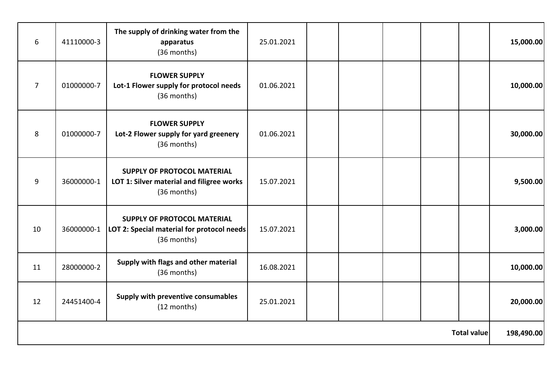| 6                  | 41110000-3 | The supply of drinking water from the<br>apparatus<br>(36 months)                               | 25.01.2021 |  |  |  |            | 15,000.00 |
|--------------------|------------|-------------------------------------------------------------------------------------------------|------------|--|--|--|------------|-----------|
| $\overline{7}$     | 01000000-7 | <b>FLOWER SUPPLY</b><br>Lot-1 Flower supply for protocol needs<br>(36 months)                   | 01.06.2021 |  |  |  |            | 10,000.00 |
| 8                  | 01000000-7 | <b>FLOWER SUPPLY</b><br>Lot-2 Flower supply for yard greenery<br>(36 months)                    | 01.06.2021 |  |  |  |            | 30,000.00 |
| 9                  | 36000000-1 | SUPPLY OF PROTOCOL MATERIAL<br>LOT 1: Silver material and filigree works<br>(36 months)         | 15.07.2021 |  |  |  |            | 9,500.00  |
| 10                 | 36000000-1 | <b>SUPPLY OF PROTOCOL MATERIAL</b><br>LOT 2: Special material for protocol needs<br>(36 months) | 15.07.2021 |  |  |  |            | 3,000.00  |
| 11                 | 28000000-2 | Supply with flags and other material<br>(36 months)                                             | 16.08.2021 |  |  |  |            | 10,000.00 |
| 12                 | 24451400-4 | Supply with preventive consumables<br>(12 months)                                               | 25.01.2021 |  |  |  |            | 20,000.00 |
| <b>Total value</b> |            |                                                                                                 |            |  |  |  | 198,490.00 |           |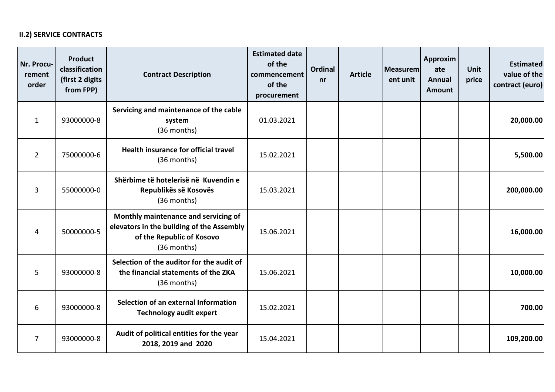### **II.2) SERVICE CONTRACTS**

| Nr. Procu-<br>rement<br>order | <b>Product</b><br>classification<br>(first 2 digits<br>from FPP) | <b>Contract Description</b>                                                                                                   | <b>Estimated date</b><br>of the<br>commencement<br>of the<br>procurement | <b>Ordinal</b><br>nr | <b>Article</b> | Measurem<br>ent unit | Approxim<br>ate<br><b>Annual</b><br>Amount | <b>Unit</b><br>price | <b>Estimated</b><br>value of the<br>contract (euro) |
|-------------------------------|------------------------------------------------------------------|-------------------------------------------------------------------------------------------------------------------------------|--------------------------------------------------------------------------|----------------------|----------------|----------------------|--------------------------------------------|----------------------|-----------------------------------------------------|
| 1                             | 93000000-8                                                       | Servicing and maintenance of the cable<br>system<br>(36 months)                                                               | 01.03.2021                                                               |                      |                |                      |                                            |                      | 20,000.00                                           |
| $\overline{2}$                | 75000000-6                                                       | Health insurance for official travel<br>(36 months)                                                                           | 15.02.2021                                                               |                      |                |                      |                                            |                      | 5,500.00                                            |
| $\overline{3}$                | 55000000-0                                                       | Shërbime të hotelerisë në Kuvendin e<br>Republikës së Kosovës<br>(36 months)                                                  | 15.03.2021                                                               |                      |                |                      |                                            |                      | 200,000.00                                          |
| 4                             | 50000000-5                                                       | Monthly maintenance and servicing of<br>elevators in the building of the Assembly<br>of the Republic of Kosovo<br>(36 months) | 15.06.2021                                                               |                      |                |                      |                                            |                      | 16,000.00                                           |
| 5                             | 93000000-8                                                       | Selection of the auditor for the audit of<br>the financial statements of the ZKA<br>(36 months)                               | 15.06.2021                                                               |                      |                |                      |                                            |                      | 10,000.00                                           |
| 6                             | 93000000-8                                                       | Selection of an external Information<br><b>Technology audit expert</b>                                                        | 15.02.2021                                                               |                      |                |                      |                                            |                      | 700.00                                              |
| $\overline{7}$                | 93000000-8                                                       | Audit of political entities for the year<br>2018, 2019 and 2020                                                               | 15.04.2021                                                               |                      |                |                      |                                            |                      | 109,200.00                                          |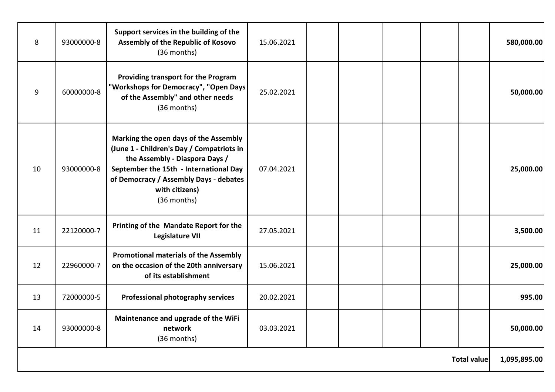| 8                  | 93000000-8 | Support services in the building of the<br>Assembly of the Republic of Kosovo<br>(36 months)                                                                                                                                              | 15.06.2021 |  |  |  |  |              | 580,000.00 |
|--------------------|------------|-------------------------------------------------------------------------------------------------------------------------------------------------------------------------------------------------------------------------------------------|------------|--|--|--|--|--------------|------------|
| 9                  | 60000000-8 | Providing transport for the Program<br>"Workshops for Democracy", "Open Days<br>of the Assembly" and other needs<br>(36 months)                                                                                                           | 25.02.2021 |  |  |  |  |              | 50,000.00  |
| 10                 | 93000000-8 | Marking the open days of the Assembly<br>(June 1 - Children's Day / Compatriots in<br>the Assembly - Diaspora Days /<br>September the 15th - International Day<br>of Democracy / Assembly Days - debates<br>with citizens)<br>(36 months) | 07.04.2021 |  |  |  |  |              | 25,000.00  |
| 11                 | 22120000-7 | Printing of the Mandate Report for the<br><b>Legislature VII</b>                                                                                                                                                                          | 27.05.2021 |  |  |  |  |              | 3,500.00   |
| 12                 | 22960000-7 | <b>Promotional materials of the Assembly</b><br>on the occasion of the 20th anniversary<br>of its establishment                                                                                                                           | 15.06.2021 |  |  |  |  |              | 25,000.00  |
| 13                 | 72000000-5 | Professional photography services                                                                                                                                                                                                         | 20.02.2021 |  |  |  |  |              | 995.00     |
| 14                 | 93000000-8 | Maintenance and upgrade of the WiFi<br>network<br>(36 months)                                                                                                                                                                             | 03.03.2021 |  |  |  |  |              | 50,000.00  |
| <b>Total value</b> |            |                                                                                                                                                                                                                                           |            |  |  |  |  | 1,095,895.00 |            |